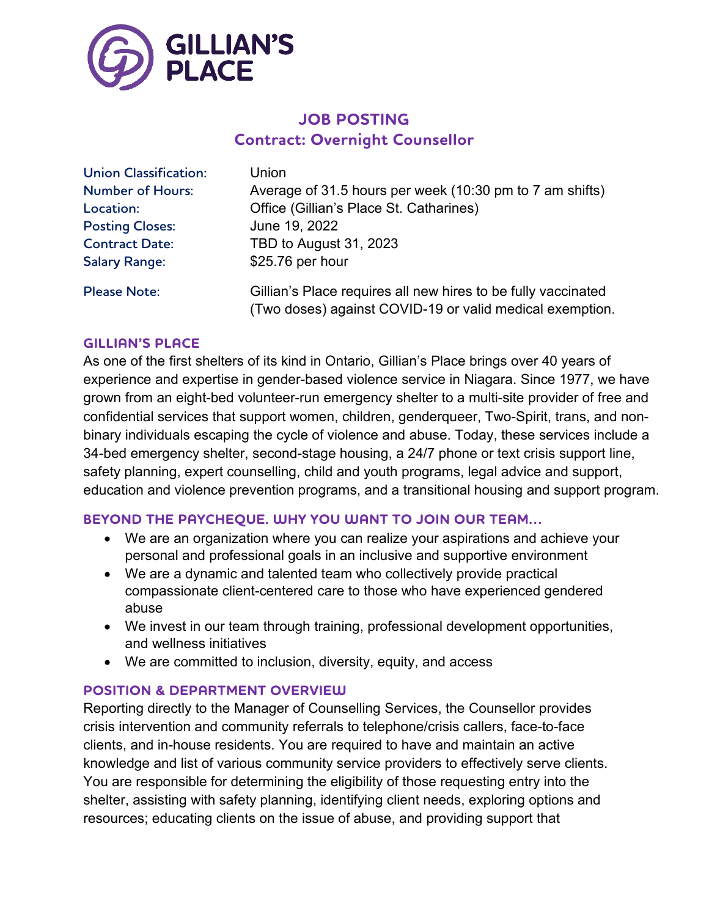

# **JOB POSTING Contract: Overnight Counsellor**

| <b>Union Classification:</b> | Union                                                                                                                     |
|------------------------------|---------------------------------------------------------------------------------------------------------------------------|
| <b>Number of Hours:</b>      | Average of 31.5 hours per week (10:30 pm to 7 am shifts)                                                                  |
| Location:                    | Office (Gillian's Place St. Catharines)                                                                                   |
| <b>Posting Closes:</b>       | June 19, 2022                                                                                                             |
| <b>Contract Date:</b>        | TBD to August 31, 2023                                                                                                    |
| <b>Salary Range:</b>         | \$25.76 per hour                                                                                                          |
| <b>Please Note:</b>          | Gillian's Place requires all new hires to be fully vaccinated<br>(Two doses) against COVID-19 or valid medical exemption. |

### **GILLIAN'S PLACE**

As one of the first shelters of its kind in Ontario, Gillian's Place brings over 40 years of experience and expertise in gender-based violence service in Niagara. Since 1977, we have grown from an eight-bed volunteer-run emergency shelter to a multi-site provider of free and confidential services that support women, children, genderqueer, Two-Spirit, trans, and nonbinary individuals escaping the cycle of violence and abuse. Today, these services include a 34-bed emergency shelter, second-stage housing, a 24/7 phone or text crisis support line, safety planning, expert counselling, child and youth programs, legal advice and support, education and violence prevention programs, and a transitional housing and support program.

### **BEYOND THE PAYCHEQUE. WHY YOU WANT TO JOIN OUR TEAM…**

- We are an organization where you can realize your aspirations and achieve your personal and professional goals in an inclusive and supportive environment
- We are a dynamic and talented team who collectively provide practical compassionate client-centered care to those who have experienced gendered abuse
- We invest in our team through training, professional development opportunities, and wellness initiatives
- We are committed to inclusion, diversity, equity, and access

#### **POSITION & DEPARTMENT OVERVIEW**

Reporting directly to the Manager of Counselling Services, the Counsellor provides crisis intervention and community referrals to telephone/crisis callers, face-to-face clients, and in-house residents. You are required to have and maintain an active knowledge and list of various community service providers to effectively serve clients. You are responsible for determining the eligibility of those requesting entry into the shelter, assisting with safety planning, identifying client needs, exploring options and resources; educating clients on the issue of abuse, and providing support that